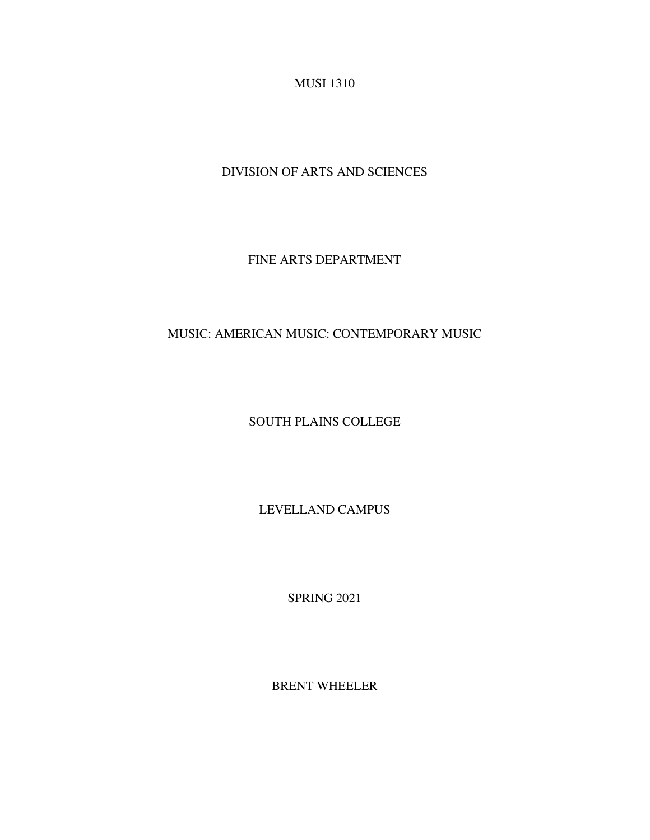MUSI 1310

DIVISION OF ARTS AND SCIENCES

FINE ARTS DEPARTMENT

MUSIC: AMERICAN MUSIC: CONTEMPORARY MUSIC

SOUTH PLAINS COLLEGE

LEVELLAND CAMPUS

SPRING 2021

BRENT WHEELER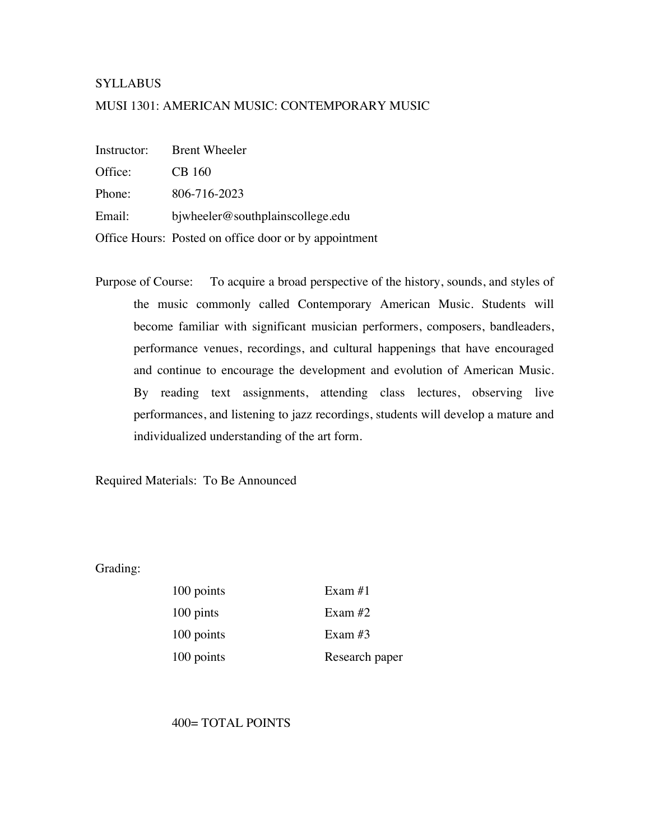## **SYLLABUS**

## MUSI 1301: AMERICAN MUSIC: CONTEMPORARY MUSIC

Instructor: Brent Wheeler

Office: CB 160

Phone: 806-716-2023

Email: bjwheeler@southplainscollege.edu

Office Hours: Posted on office door or by appointment

Purpose of Course: To acquire a broad perspective of the history, sounds, and styles of the music commonly called Contemporary American Music. Students will become familiar with significant musician performers, composers, bandleaders, performance venues, recordings, and cultural happenings that have encouraged and continue to encourage the development and evolution of American Music. By reading text assignments, attending class lectures, observing live performances, and listening to jazz recordings, students will develop a mature and individualized understanding of the art form.

Required Materials: To Be Announced

Grading:

| 100 points | Exam $#1$      |
|------------|----------------|
| 100 pints  | Exam $#2$      |
| 100 points | Exam $#3$      |
| 100 points | Research paper |

400= TOTAL POINTS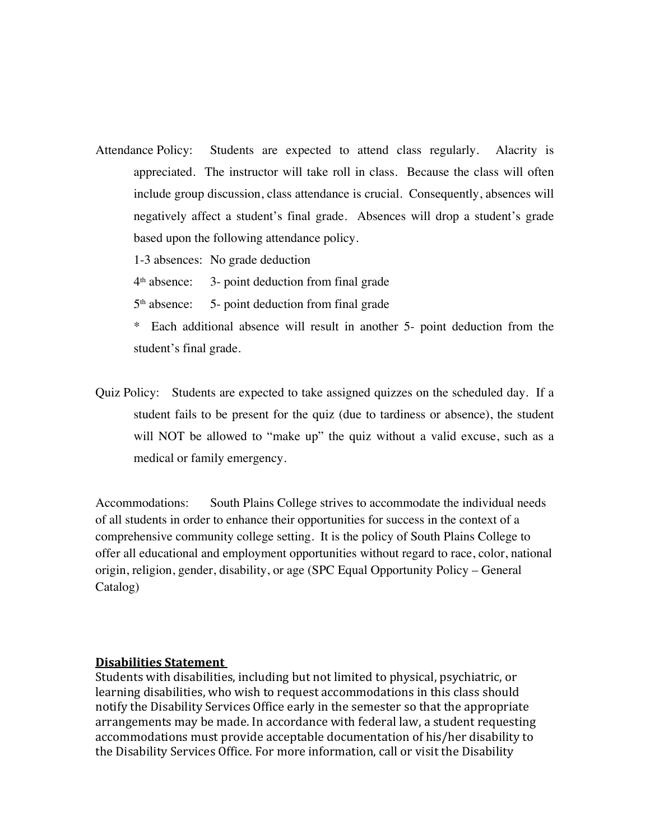- Attendance Policy: Students are expected to attend class regularly. Alacrity is appreciated. The instructor will take roll in class. Because the class will often include group discussion, class attendance is crucial. Consequently, absences will negatively affect a student's final grade. Absences will drop a student's grade based upon the following attendance policy.
	- 1-3 absences: No grade deduction

 $4<sup>th</sup>$  absence: 3- point deduction from final grade

- $5<sup>th</sup>$  absence:  $5-$  point deduction from final grade
- \* Each additional absence will result in another 5- point deduction from the student's final grade.
- Quiz Policy: Students are expected to take assigned quizzes on the scheduled day. If a student fails to be present for the quiz (due to tardiness or absence), the student will NOT be allowed to "make up" the quiz without a valid excuse, such as a medical or family emergency.

Accommodations: South Plains College strives to accommodate the individual needs of all students in order to enhance their opportunities for success in the context of a comprehensive community college setting. It is the policy of South Plains College to offer all educational and employment opportunities without regard to race, color, national origin, religion, gender, disability, or age (SPC Equal Opportunity Policy – General Catalog)

## **Disabilities Statement**

Students with disabilities, including but not limited to physical, psychiatric, or learning disabilities, who wish to request accommodations in this class should notify the Disability Services Office early in the semester so that the appropriate arrangements may be made. In accordance with federal law, a student requesting accommodations must provide acceptable documentation of his/her disability to the Disability Services Office. For more information, call or visit the Disability